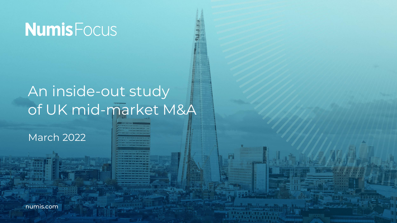# **Numis** Focus

### An inside-out study of UK mid-market M&A

March 2022

numis.com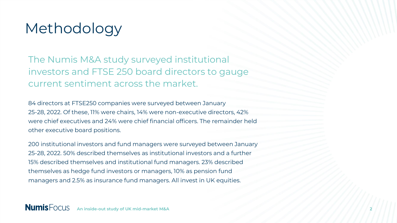#### Methodology

The Numis M&A study surveyed institutional investors and FTSE 250 board directors to gauge current sentiment across the market.

84 directors at FTSE250 companies were surveyed between January 25-28, 2022. Of these, 11% were chairs, 14% were non-executive directors, 42% were chief executives and 24% were chief financial officers. The remainder held other executive board positions.

200 institutional investors and fund managers were surveyed between January 25-28, 2022. 50% described themselves as institutional investors and a further 15% described themselves and institutional fund managers. 23% described themselves as hedge fund investors or managers, 10% as pension fund managers and 2.5% as insurance fund managers. All invest in UK equities.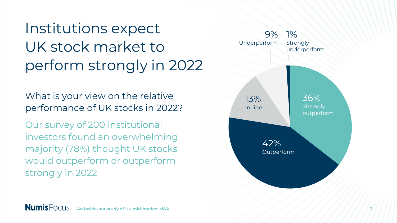Institutions expect UK stock market to perform strongly in 2022

What is your view on the relative performance of UK stocks in 2022?

Our survey of 200 institutional investors found an overwhelming majority (78%) thought UK stocks would outperform or outperform strongly in 2022

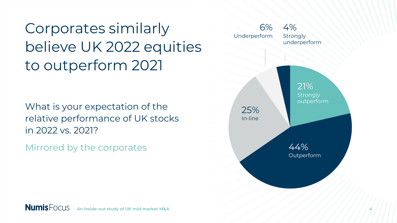Corporates similarly believe UK 2022 equities to outperform 2021

What is your expectation of the relative performance of UK stocks in 2022 vs. 2021?

Mirrored by the corporates

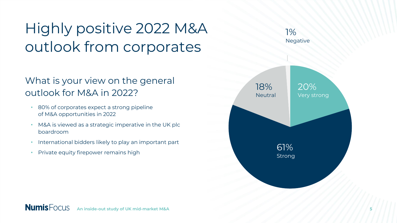## Highly positive 2022 M&A outlook from corporates

#### What is your view on the general outlook for M&A in 2022?

- 80% of corporates expect a strong pipeline of M&A opportunities in 2022
- M&A is viewed as a strategic imperative in the UK plc boardroom
- International bidders likely to play an important part
- Private equity firepower remains high

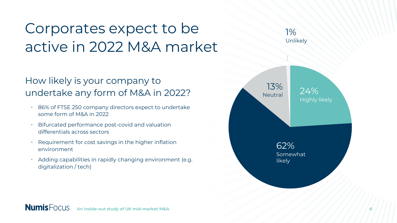### Corporates expect to be active in 2022 M&A market

#### How likely is your company to undertake any form of M&A in 2022?

- 86% of FTSE 250 company directors expect to undertake some form of M&A in 2022
- Bifurcated performance post-covid and valuation differentials across sectors
- Requirement for cost savings in the higher inflation environment
- Adding capabilities in rapidly changing environment (e.g. digitalization / tech)



1%

Unlikely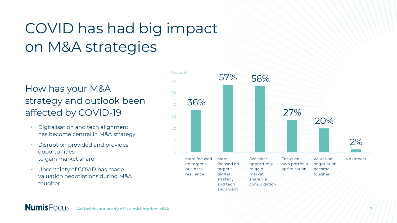### COVID has had big impact on M&A strategies

#### How has your M&A strategy and outlook been affected by COVID-19

- Digitalisation and tech alignment has become central in M&A strategy
- Disruption provided and provides opportunities to gain market share
- Uncertainty of COVID has made valuation negotiations during M&A tougher

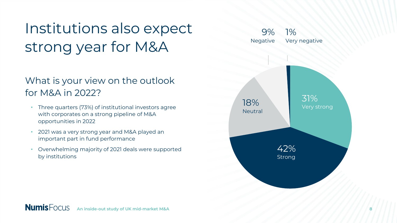### Institutions also expect strong year for M&A

#### What is your view on the outlook for M&A in 2022?

- Three quarters (73%) of institutional investors agree with corporates on a strong pipeline of M&A opportunities in 2022
- 2021 was a very strong year and M&A played an important part in fund performance
- Overwhelming majority of 2021 deals were supported by institutions

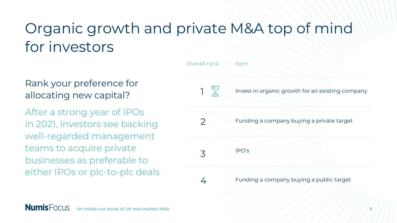#### Organic growth and private M&A top of mind for investors

Rank your preference for allocating new capital?

After a strong year of IPOs in 2021, investors see backing well-regarded management teams to acquire private businesses as preferable to either IPOs or plc-to-plc deals

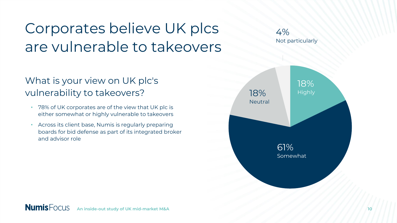### Corporates believe UK plcs are vulnerable to takeovers

#### What is your view on UK plc's vulnerability to takeovers?

- 78% of UK corporates are of the view that UK plc is either somewhat or highly vulnerable to takeovers
- Across its client base, Numis is regularly preparing boards for bid defense as part of its integrated broker and advisor role



4%

Not particularly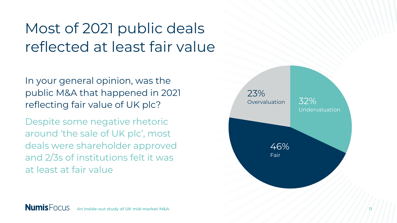### Most of 2021 public deals reflected at least fair value

In your general opinion, was the public M&A that happened in 2021 reflecting fair value of UK plc?

Despite some negative rhetoric around 'the sale of UK plc', most deals were shareholder approved and 2/3s of institutions felt it was at least at fair value

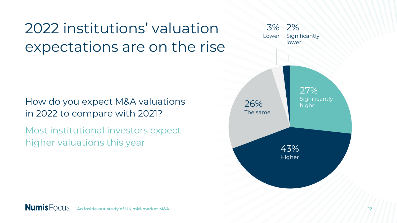### 2022 institutions' valuation expectations are on the rise

How do you expect M&A valuations in 2022 to compare with 2021?

Most institutional investors expect higher valuations this year

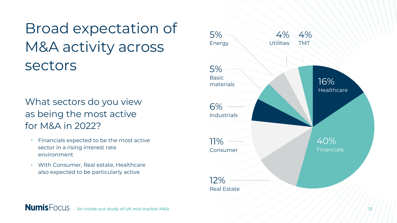Broad expectation of M&A activity across sectors

What sectors do you view as being the most active for M&A in 2022?

- Financials expected to be the most active sector in a rising interest rate environment
- With Consumer, Real estate, Healthcare also expected to be particularly active

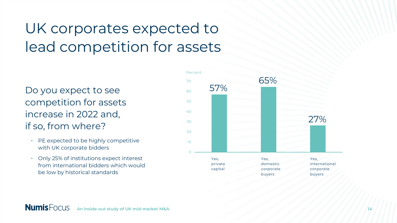### UK corporates expected to lead competition for assets

Do you expect to see competition for assets increase in 2022 and, if so, from where?

- PE expected to be highly competitive with UK corporate bidders
- Only 25% of institutions expect interest from international bidders which would be low by historical standards

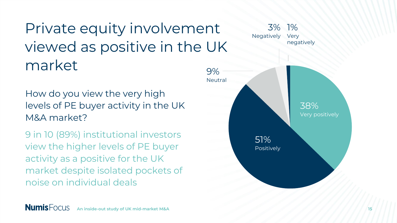#### Private equity involvement viewed as positive in the UK market 9%

#### How do you view the very high levels of PE buyer activity in the UK M&A market?

9 in 10 (89%) institutional investors view the higher levels of PE buyer activity as a positive for the UK market despite isolated pockets of noise on individual deals

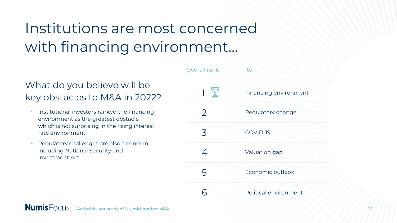### Institutions are most concerned with financing environment…

#### What do you believe will be key obstacles to M&A in 2022?

- Institutional investors ranked the financing environment as the greatest obstacle which is not surprising in the rising interest rate environment
- Regulatory challenges are also a concern, including National Security and Investment Act

| Overall rank   | Item                  |
|----------------|-----------------------|
| 一叉             | Financing environment |
| $\overline{2}$ | Regulatory change     |
| 3              | COVID-19              |
| 4              | Valuation gap         |
| 5              | Economic outlook      |
|                | Political environment |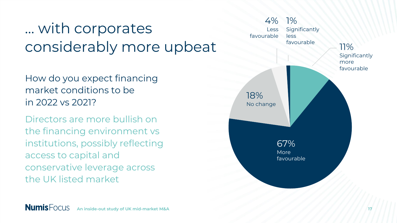### … with corporates considerably more upbeat

How do you expect financing market conditions to be in 2022 vs 2021?

Directors are more bullish on the financing environment vs institutions, possibly reflecting access to capital and conservative leverage across the UK listed market